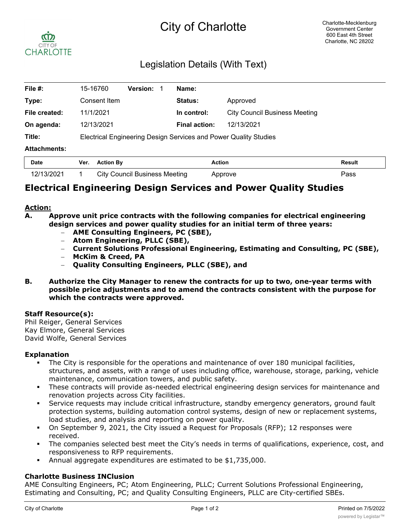# City of Charlotte



## Legislation Details (With Text)

| File #:             | 15-16760                                                         | <b>Version:</b> | Name:                |                                      |        |
|---------------------|------------------------------------------------------------------|-----------------|----------------------|--------------------------------------|--------|
| Type:               | Consent Item                                                     |                 | Status:              | Approved                             |        |
| File created:       | 11/1/2021                                                        |                 | In control:          | <b>City Council Business Meeting</b> |        |
| On agenda:          | 12/13/2021                                                       |                 | <b>Final action:</b> | 12/13/2021                           |        |
| Title:              | Electrical Engineering Design Services and Power Quality Studies |                 |                      |                                      |        |
| <b>Attachments:</b> |                                                                  |                 |                      |                                      |        |
| Date                | <b>Action Ry</b><br>Ver                                          |                 | <b>Action</b>        |                                      | Result |

| Date       | Ver. | <b>Action By</b>                     | Action  | Result |
|------------|------|--------------------------------------|---------|--------|
| 12/13/2021 |      | <b>City Council Business Meeting</b> | Approve | ⊃ass   |

### **Electrical Engineering Design Services and Power Quality Studies**

### **Action:**

- **A. Approve unit price contracts with the following companies for electrical engineering design services and power quality studies for an initial term of three years:**
	- **AME Consulting Engineers, PC (SBE),**
	- **Atom Engineering, PLLC (SBE),**
	- **Current Solutions Professional Engineering, Estimating and Consulting, PC (SBE),**
	- **McKim & Creed, PA**
	- **Quality Consulting Engineers, PLLC (SBE), and**
- **B. Authorize the City Manager to renew the contracts for up to two, one-year terms with possible price adjustments and to amend the contracts consistent with the purpose for which the contracts were approved.**

#### **Staff Resource(s):**

Phil Reiger, General Services Kay Elmore, General Services David Wolfe, General Services

#### **Explanation**

- The City is responsible for the operations and maintenance of over 180 municipal facilities, structures, and assets, with a range of uses including office, warehouse, storage, parking, vehicle maintenance, communication towers, and public safety.
- These contracts will provide as-needed electrical engineering design services for maintenance and renovation projects across City facilities.
- Service requests may include critical infrastructure, standby emergency generators, ground fault protection systems, building automation control systems, design of new or replacement systems, load studies, and analysis and reporting on power quality.
- On September 9, 2021, the City issued a Request for Proposals (RFP); 12 responses were received.
- The companies selected best meet the City's needs in terms of qualifications, experience, cost, and responsiveness to RFP requirements.
- § Annual aggregate expenditures are estimated to be \$1,735,000.

#### **Charlotte Business INClusion**

AME Consulting Engineers, PC; Atom Engineering, PLLC; Current Solutions Professional Engineering, Estimating and Consulting, PC; and Quality Consulting Engineers, PLLC are City-certified SBEs.